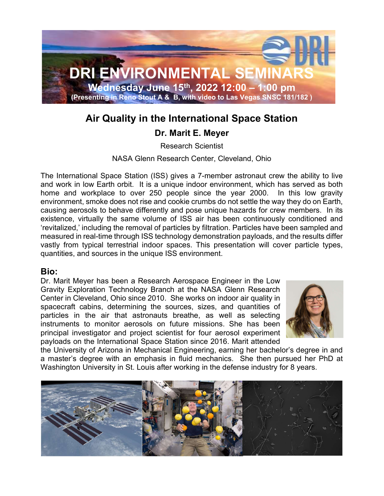

## Air Quality in the International Space Station

### Dr. Marit E. Meyer

Research Scientist

NASA Glenn Research Center, Cleveland, Ohio

The International Space Station (ISS) gives a 7-member astronaut crew the ability to live and work in low Earth orbit. It is a unique indoor environment, which has served as both home and workplace to over 250 people since the year 2000. In this low gravity environment, smoke does not rise and cookie crumbs do not settle the way they do on Earth, causing aerosols to behave differently and pose unique hazards for crew members. In its existence, virtually the same volume of ISS air has been continuously conditioned and 'revitalized,' including the removal of particles by filtration. Particles have been sampled and measured in real-time through ISS technology demonstration payloads, and the results differ vastly from typical terrestrial indoor spaces. This presentation will cover particle types, quantities, and sources in the unique ISS environment.

#### Bio:

Dr. Marit Meyer has been a Research Aerospace Engineer in the Low Gravity Exploration Technology Branch at the NASA Glenn Research Center in Cleveland, Ohio since 2010. She works on indoor air quality in spacecraft cabins, determining the sources, sizes, and quantities of particles in the air that astronauts breathe, as well as selecting instruments to monitor aerosols on future missions. She has been principal investigator and project scientist for four aerosol experiment payloads on the International Space Station since 2016. Marit attended



the University of Arizona in Mechanical Engineering, earning her bachelor's degree in and a master's degree with an emphasis in fluid mechanics. She then pursued her PhD at Washington University in St. Louis after working in the defense industry for 8 years.

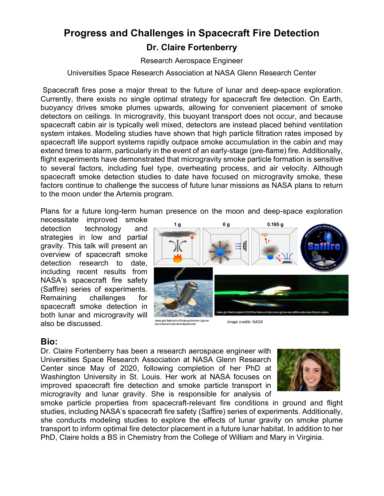# Progress and Challenges in Spacecraft Fire Detection Dr. Claire Fortenberry

Research Aerospace Engineer

Universities Space Research Association at NASA Glenn Research Center

 Spacecraft fires pose a major threat to the future of lunar and deep-space exploration. Currently, there exists no single optimal strategy for spacecraft fire detection. On Earth, buoyancy drives smoke plumes upwards, allowing for convenient placement of smoke detectors on ceilings. In microgravity, this buoyant transport does not occur, and because spacecraft cabin air is typically well mixed, detectors are instead placed behind ventilation system intakes. Modeling studies have shown that high particle filtration rates imposed by spacecraft life support systems rapidly outpace smoke accumulation in the cabin and may extend times to alarm, particularly in the event of an early-stage (pre-flame) fire. Additionally, flight experiments have demonstrated that microgravity smoke particle formation is sensitive to several factors, including fuel type, overheating process, and air velocity. Although spacecraft smoke detection studies to date have focused on microgravity smoke, these factors continue to challenge the success of future lunar missions as NASA plans to return to the moon under the Artemis program.

Plans for a future long-term human presence on the moon and deep-space exploration

necessitate improved smoke detection technology and strategies in low and partial gravity. This talk will present an overview of spacecraft smoke detection research to date, including recent results from NASA's spacecraft fire safety (Saffire) series of experiments. Remaining challenges for spacecraft smoke detection in both lunar and microgravity will also be discussed.



nasa.gov/feature/northrop-grumman-cygnus<br>launches-arrivals-and-departures/

Image credits: NASA

### Bio:

Dr. Claire Fortenberry has been a research aerospace engineer with Universities Space Research Association at NASA Glenn Research Center since May of 2020, following completion of her PhD at Washington University in St. Louis. Her work at NASA focuses on improved spacecraft fire detection and smoke particle transport in microgravity and lunar gravity. She is responsible for analysis of



smoke particle properties from spacecraft-relevant fire conditions in ground and flight studies, including NASA's spacecraft fire safety (Saffire) series of experiments. Additionally, she conducts modeling studies to explore the effects of lunar gravity on smoke plume transport to inform optimal fire detector placement in a future lunar habitat. In addition to her PhD, Claire holds a BS in Chemistry from the College of William and Mary in Virginia.